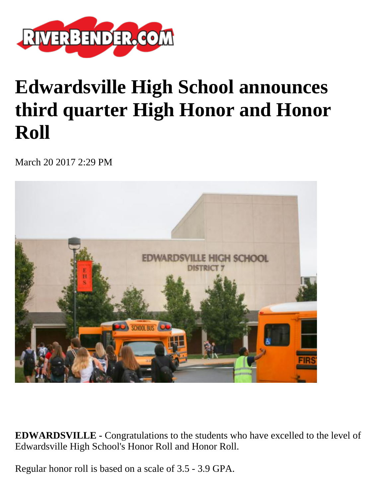

# **Edwardsville High School announces third quarter High Honor and Honor Roll**

March 20 2017 2:29 PM



**EDWARDSVILLE -** Congratulations to the students who have excelled to the level of Edwardsville High School's Honor Roll and Honor Roll.

Regular honor roll is based on a scale of 3.5 - 3.9 GPA.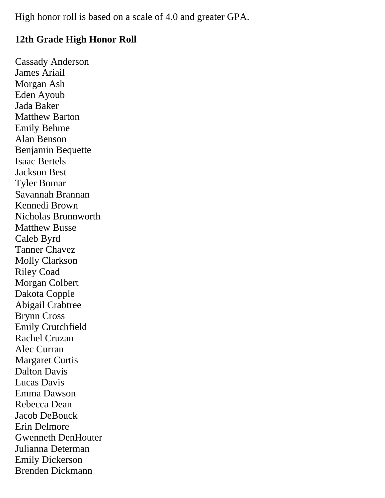High honor roll is based on a scale of 4.0 and greater GPA.

## **12th Grade High Honor Roll**

Cassady Anderson James Ariail Morgan Ash Eden Ayoub Jada Baker Matthew Barton Emily Behme Alan Benson Benjamin Bequette Isaac Bertels Jackson Best Tyler Bomar Savannah Brannan Kennedi Brown Nicholas Brunnworth Matthew Busse Caleb Byrd Tanner Chavez Molly Clarkson Riley Coad Morgan Colbert Dakota Copple Abigail Crabtree Brynn Cross Emily Crutchfield Rachel Cruzan Alec Curran Margaret Curtis Dalton Davis Lucas Davis Emma Dawson Rebecca Dean Jacob DeBouck Erin Delmore Gwenneth DenHouter Julianna Determan Emily Dickerson Brenden Dickmann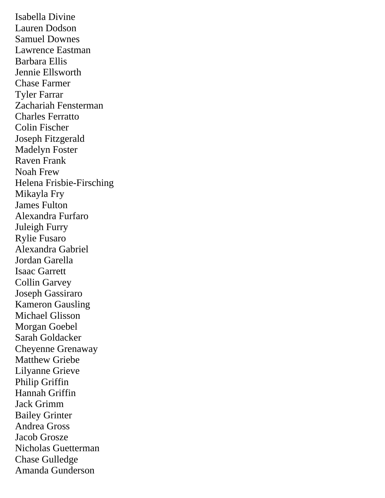Isabella Divine Lauren Dodson Samuel Downes Lawrence Eastman Barbara Ellis Jennie Ellsworth Chase Farmer Tyler Farrar Zachariah Fensterman Charles Ferratto Colin Fischer Joseph Fitzgerald Madelyn Foster Raven Frank Noah Frew Helena Frisbie-Firsching Mikayla Fry James Fulton Alexandra Furfaro Juleigh Furry Rylie Fusaro Alexandra Gabriel Jordan Garella Isaac Garrett Collin Garvey Joseph Gassiraro Kameron Gausling Michael Glisson Morgan Goebel Sarah Goldacker Cheyenne Grenaway Matthew Griebe Lilyanne Grieve Philip Griffin Hannah Griffin Jack Grimm Bailey Grinter Andrea Gross Jacob Grosze Nicholas Guetterman Chase Gulledge Amanda Gunderson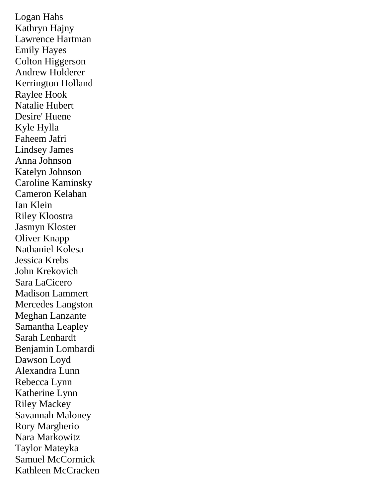Logan Hahs Kathryn Hajny Lawrence Hartman Emily Hayes Colton Higgerson Andrew Holderer Kerrington Holland Raylee Hook Natalie Hubert Desire' Huene Kyle Hylla Faheem Jafri Lindsey James Anna Johnson Katelyn Johnson Caroline Kaminsky Cameron Kelahan Ian Klein Riley Kloostra Jasmyn Kloster Oliver Knapp Nathaniel Kolesa Jessica Krebs John Krekovich Sara LaCicero Madison Lammert Mercedes Langston Meghan Lanzante Samantha Leapley Sarah Lenhardt Benjamin Lombardi Dawson Loyd Alexandra Lunn Rebecca Lynn Katherine Lynn Riley Mackey Savannah Maloney Rory Margherio Nara Markowitz Taylor Mateyka Samuel McCormick Kathleen McCracken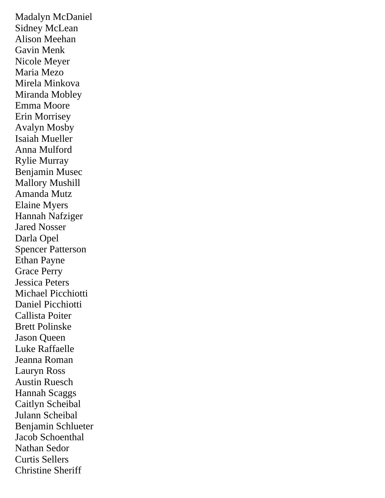Madalyn McDaniel Sidney McLean Alison Meehan Gavin Menk Nicole Meyer Maria Mezo Mirela Minkova Miranda Mobley Emma Moore Erin Morrisey Avalyn Mosby Isaiah Mueller Anna Mulford Rylie Murray Benjamin Musec Mallory Mushill Amanda Mutz Elaine Myers Hannah Nafziger Jared Nosser Darla Opel Spencer Patterson Ethan Payne Grace Perry Jessica Peters Michael Picchiotti Daniel Picchiotti Callista Poiter Brett Polinske Jason Queen Luke Raffaelle Jeanna Roman Lauryn Ross Austin Ruesch Hannah Scaggs Caitlyn Scheibal Julann Scheibal Benjamin Schlueter Jacob Schoenthal Nathan Sedor Curtis Sellers Christine Sheriff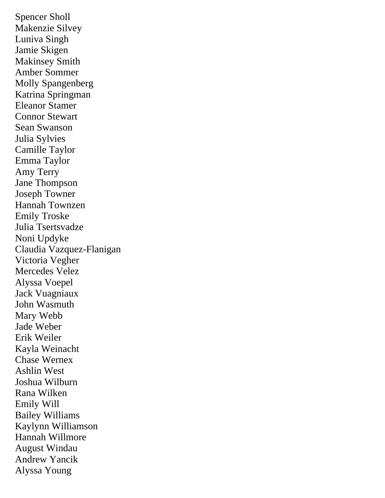Spencer Sholl Makenzie Silvey Luniva Singh Jamie Skigen Makinsey Smith Amber Sommer Molly Spangenberg Katrina Springman Eleanor Stamer Connor Stewart Sean Swanson Julia Sylvies Camille Taylor Emma Taylor Amy Terry Jane Thompson Joseph Towner Hannah Townzen Emily Troske Julia Tsertsvadze Noni Updyke Claudia Vazquez-Flanigan Victoria Vegher Mercedes Velez Alyssa Voepel Jack Vuagniaux John Wasmuth Mary Webb Jade Weber Erik Weiler Kayla Weinacht Chase Wernex Ashlin West Joshua Wilburn Rana Wilken Emily Will Bailey Williams Kaylynn Williamson Hannah Willmore August Windau Andrew Yancik Alyssa Young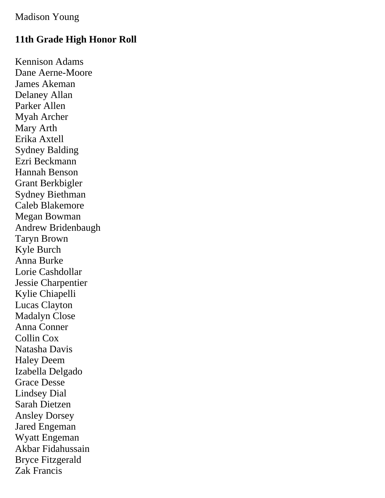## Madison Young

# **11th Grade High Honor Roll**

Kennison Adams Dane Aerne-Moore James Akeman Delaney Allan Parker Allen Myah Archer Mary Arth Erika Axtell Sydney Balding Ezri Beckmann Hannah Benson Grant Berkbigler Sydney Biethman Caleb Blakemore Megan Bowman Andrew Bridenbaugh Taryn Brown Kyle Burch Anna Burke Lorie Cashdollar Jessie Charpentier Kylie Chiapelli Lucas Clayton Madalyn Close Anna Conner Collin Cox Natasha Davis Haley Deem Izabella Delgado Grace Desse Lindsey Dial Sarah Dietzen Ansley Dorsey Jared Engeman Wyatt Engeman Akbar Fidahussain Bryce Fitzgerald Zak Francis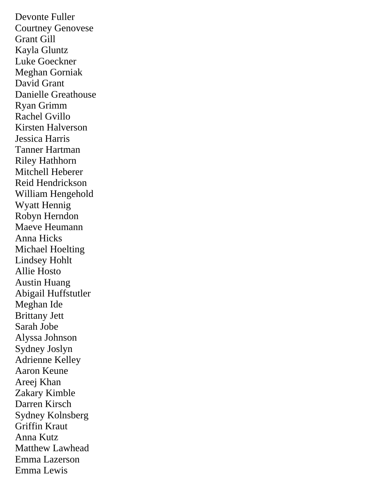Devonte Fuller Courtney Genovese Grant Gill Kayla Gluntz Luke Goeckner Meghan Gorniak David Grant Danielle Greathouse Ryan Grimm Rachel Gvillo Kirsten Halverson Jessica Harris Tanner Hartman Riley Hathhorn Mitchell Heberer Reid Hendrickson William Hengehold Wyatt Hennig Robyn Herndon Maeve Heumann Anna Hicks Michael Hoelting Lindsey Hohlt Allie Hosto Austin Huang Abigail Huffstutler Meghan Ide Brittany Jett Sarah Jobe Alyssa Johnson Sydney Joslyn Adrienne Kelley Aaron Keune Areej Khan Zakary Kimble Darren Kirsch Sydney Kolnsberg Griffin Kraut Anna Kutz Matthew Lawhead Emma Lazerson Emma Lewis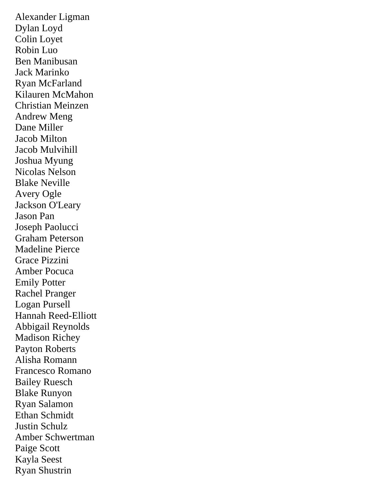Alexander Ligman Dylan Loyd Colin Loyet Robin Luo Ben Manibusan Jack Marinko Ryan McFarland Kilauren McMahon Christian Meinzen Andrew Meng Dane Miller Jacob Milton Jacob Mulvihill Joshua Myung Nicolas Nelson Blake Neville Avery Ogle Jackson O'Leary Jason Pan Joseph Paolucci Graham Peterson Madeline Pierce Grace Pizzini Amber Pocuca Emily Potter Rachel Pranger Logan Pursell Hannah Reed-Elliott Abbigail Reynolds Madison Richey Payton Roberts Alisha Romann Francesco Romano Bailey Ruesch Blake Runyon Ryan Salamon Ethan Schmidt Justin Schulz Amber Schwertman Paige Scott Kayla Seest Ryan Shustrin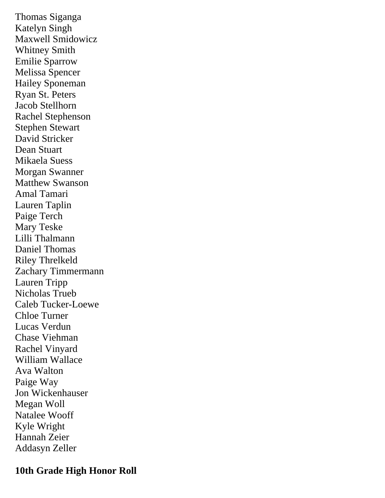Thomas Siganga Katelyn Singh Maxwell Smidowicz Whitney Smith Emilie Sparrow Melissa Spencer Hailey Sponeman Ryan St. Peters Jacob Stellhorn Rachel Stephenson Stephen Stewart David Stricker Dean Stuart Mikaela Suess Morgan Swanner Matthew Swanson Amal Tamari Lauren Taplin Paige Terch Mary Teske Lilli Thalmann Daniel Thomas Riley Threlkeld Zachary Timmermann Lauren Tripp Nicholas Trueb Caleb Tucker-Loewe Chloe Turner Lucas Verdun Chase Viehman Rachel Vinyard William Wallace Ava Walton Paige Way Jon Wickenhauser Megan Woll Natalee Wooff Kyle Wright Hannah Zeier Addasyn Zeller

#### **10th Grade High Honor Roll**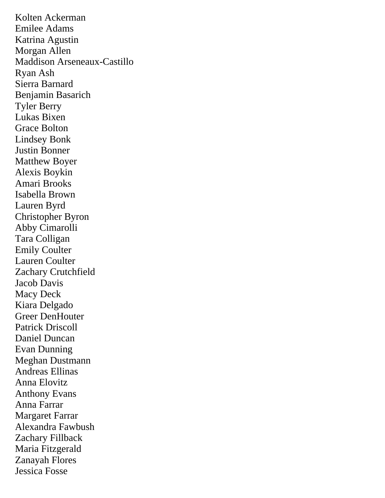Kolten Ackerman Emilee Adams Katrina Agustin Morgan Allen Maddison Arseneaux-Castillo Ryan Ash Sierra Barnard Benjamin Basarich Tyler Berry Lukas Bixen Grace Bolton Lindsey Bonk Justin Bonner Matthew Boyer Alexis Boykin Amari Brooks Isabella Brown Lauren Byrd Christopher Byron Abby Cimarolli Tara Colligan Emily Coulter Lauren Coulter Zachary Crutchfield Jacob Davis Macy Deck Kiara Delgado Greer DenHouter Patrick Driscoll Daniel Duncan Evan Dunning Meghan Dustmann Andreas Ellinas Anna Elovitz Anthony Evans Anna Farrar Margaret Farrar Alexandra Fawbush Zachary Fillback Maria Fitzgerald Zanayah Flores Jessica Fosse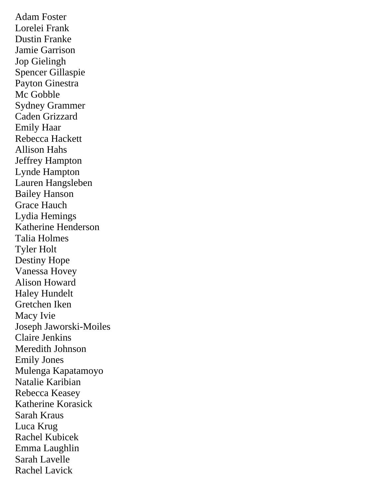Adam Foster Lorelei Frank Dustin Franke Jamie Garrison Jop Gielingh Spencer Gillaspie Payton Ginestra Mc Gobble Sydney Grammer Caden Grizzard Emily Haar Rebecca Hackett Allison Hahs Jeffrey Hampton Lynde Hampton Lauren Hangsleben Bailey Hanson Grace Hauch Lydia Hemings Katherine Henderson Talia Holmes Tyler Holt Destiny Hope Vanessa Hovey Alison Howard Haley Hundelt Gretchen Iken Macy Ivie Joseph Jaworski-Moiles Claire Jenkins Meredith Johnson Emily Jones Mulenga Kapatamoyo Natalie Karibian Rebecca Keasey Katherine Korasick Sarah Kraus Luca Krug Rachel Kubicek Emma Laughlin Sarah Lavelle Rachel Lavick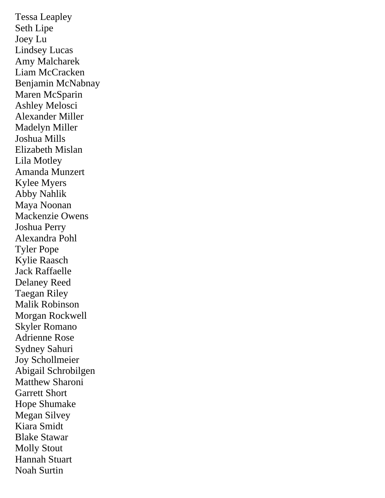Tessa Leapley Seth Lipe Joey Lu Lindsey Lucas Amy Malcharek Liam McCracken Benjamin McNabnay Maren McSparin Ashley Melosci Alexander Miller Madelyn Miller Joshua Mills Elizabeth Mislan Lila Motley Amanda Munzert Kylee Myers Abby Nahlik Maya Noonan Mackenzie Owens Joshua Perry Alexandra Pohl Tyler Pope Kylie Raasch Jack Raffaelle Delaney Reed Taegan Riley Malik Robinson Morgan Rockwell Skyler Romano Adrienne Rose Sydney Sahuri Joy Schollmeier Abigail Schrobilgen Matthew Sharoni Garrett Short Hope Shumake Megan Silvey Kiara Smidt Blake Stawar Molly Stout Hannah Stuart Noah Surtin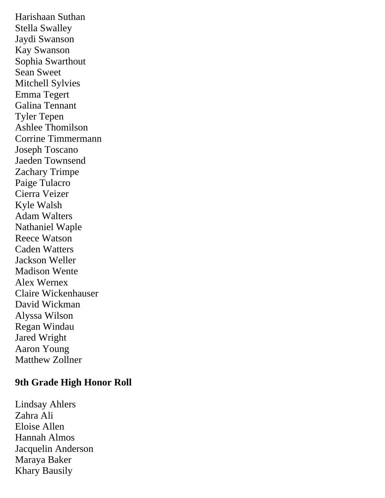Harishaan Suthan Stella Swalley Jaydi Swanson Kay Swanson Sophia Swarthout Sean Sweet Mitchell Sylvies Emma Tegert Galina Tennant Tyler Tepen Ashlee Thomilson Corrine Timmermann Joseph Toscano Jaeden Townsend Zachary Trimpe Paige Tulacro Cierra Veizer Kyle Walsh Adam Walters Nathaniel Waple Reece Watson Caden Watters Jackson Weller Madison Wente Alex Wernex Claire Wickenhauser David Wickman Alyssa Wilson Regan Windau Jared Wright Aaron Young Matthew Zollner

# **9th Grade High Honor Roll**

Lindsay Ahlers Zahra Ali Eloise Allen Hannah Almos Jacquelin Anderson Maraya Baker Khary Bausily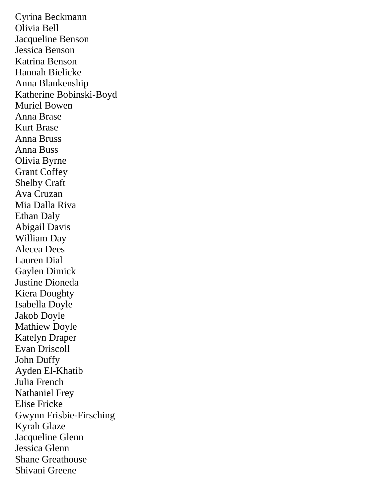Cyrina Beckmann Olivia Bell Jacqueline Benson Jessica Benson Katrina Benson Hannah Bielicke Anna Blankenship Katherine Bobinski-Boyd Muriel Bowen Anna Brase Kurt Brase Anna Bruss Anna Buss Olivia Byrne Grant Coffey Shelby Craft Ava Cruzan Mia Dalla Riva Ethan Daly Abigail Davis William Day Alecea Dees Lauren Dial Gaylen Dimick Justine Dioneda Kiera Doughty Isabella Doyle Jakob Doyle Mathiew Doyle Katelyn Draper Evan Driscoll John Duffy Ayden El-Khatib Julia French Nathaniel Frey Elise Fricke Gwynn Frisbie-Firsching Kyrah Glaze Jacqueline Glenn Jessica Glenn Shane Greathouse Shivani Greene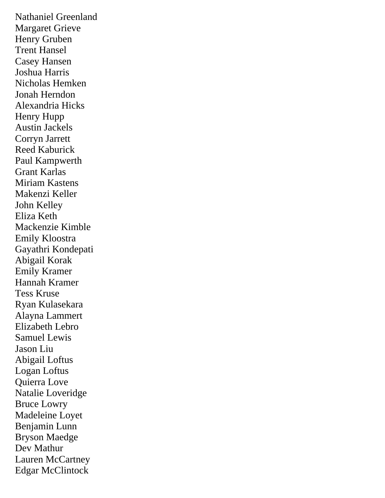Nathaniel Greenland Margaret Grieve Henry Gruben Trent Hansel Casey Hansen Joshua Harris Nicholas Hemken Jonah Herndon Alexandria Hicks Henry Hupp Austin Jackels Corryn Jarrett Reed Kaburick Paul Kampwerth Grant Karlas Miriam Kastens Makenzi Keller John Kelley Eliza Keth Mackenzie Kimble Emily Kloostra Gayathri Kondepati Abigail Korak Emily Kramer Hannah Kramer Tess Kruse Ryan Kulasekara Alayna Lammert Elizabeth Lebro Samuel Lewis Jason Liu Abigail Loftus Logan Loftus Quierra Love Natalie Loveridge Bruce Lowry Madeleine Loyet Benjamin Lunn Bryson Maedge Dev Mathur Lauren McCartney Edgar McClintock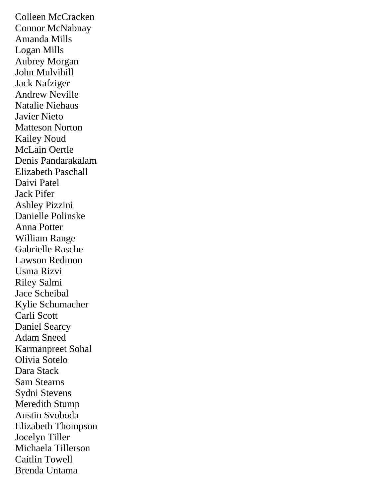Colleen McCracken Connor McNabnay Amanda Mills Logan Mills Aubrey Morgan John Mulvihill Jack Nafziger Andrew Neville Natalie Niehaus Javier Nieto Matteson Norton Kailey Noud McLain Oertle Denis Pandarakalam Elizabeth Paschall Daivi Patel Jack Pifer Ashley Pizzini Danielle Polinske Anna Potter William Range Gabrielle Rasche Lawson Redmon Usma Rizvi Riley Salmi Jace Scheibal Kylie Schumacher Carli Scott Daniel Searcy Adam Sneed Karmanpreet Sohal Olivia Sotelo Dara Stack Sam Stearns Sydni Stevens Meredith Stump Austin Svoboda Elizabeth Thompson Jocelyn Tiller Michaela Tillerson Caitlin Towell Brenda Untama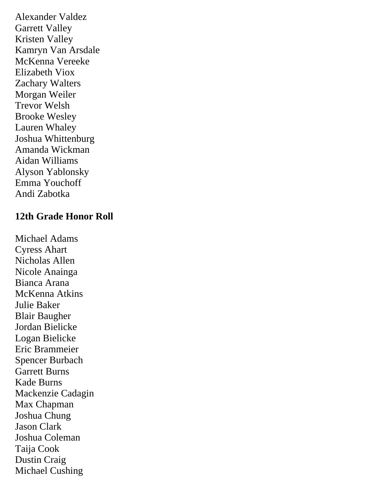Alexander Valdez Garrett Valley Kristen Valley Kamryn Van Arsdale McKenna Vereeke Elizabeth Viox Zachary Walters Morgan Weiler Trevor Welsh Brooke Wesley Lauren Whaley Joshua Whittenburg Amanda Wickman Aidan Williams Alyson Yablonsky Emma Youchoff Andi Zabotka

## **12th Grade Honor Roll**

Michael Adams Cyress Ahart Nicholas Allen Nicole Anainga Bianca Arana McKenna Atkins Julie Baker Blair Baugher Jordan Bielicke Logan Bielicke Eric Brammeier Spencer Burbach Garrett Burns Kade Burns Mackenzie Cadagin Max Chapman Joshua Chung Jason Clark Joshua Coleman Taija Cook Dustin Craig Michael Cushing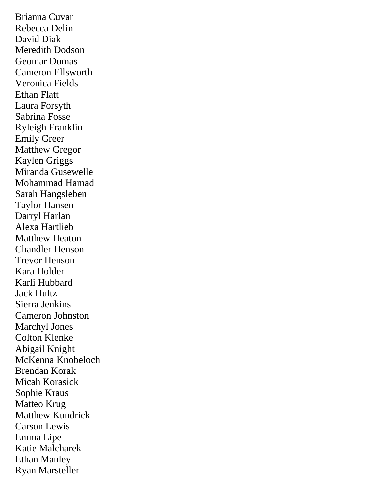Brianna Cuvar Rebecca Delin David Diak Meredith Dodson Geomar Dumas Cameron Ellsworth Veronica Fields Ethan Flatt Laura Forsyth Sabrina Fosse Ryleigh Franklin Emily Greer Matthew Gregor Kaylen Griggs Miranda Gusewelle Mohammad Hamad Sarah Hangsleben Taylor Hansen Darryl Harlan Alexa Hartlieb Matthew Heaton Chandler Henson Trevor Henson Kara Holder Karli Hubbard Jack Hultz Sierra Jenkins Cameron Johnston Marchyl Jones Colton Klenke Abigail Knight McKenna Knobeloch Brendan Korak Micah Korasick Sophie Kraus Matteo Krug Matthew Kundrick Carson Lewis Emma Lipe Katie Malcharek Ethan Manley Ryan Marsteller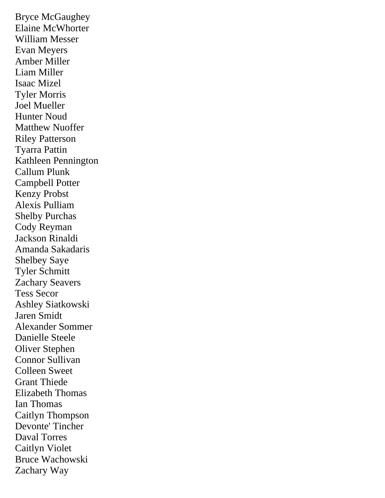Bryce McGaughey Elaine McWhorter William Messer Evan Meyers Amber Miller Liam Miller Isaac Mizel Tyler Morris Joel Mueller Hunter Noud Matthew Nuoffer Riley Patterson Tyarra Pattin Kathleen Pennington Callum Plunk Campbell Potter Kenzy Probst Alexis Pulliam Shelby Purchas Cody Reyman Jackson Rinaldi Amanda Sakadaris Shelbey Saye Tyler Schmitt Zachary Seavers Tess Secor Ashley Siatkowski Jaren Smidt Alexander Sommer Danielle Steele Oliver Stephen Connor Sullivan Colleen Sweet Grant Thiede Elizabeth Thomas Ian Thomas Caitlyn Thompson Devonte' Tincher Daval Torres Caitlyn Violet Bruce Wachowski Zachary Way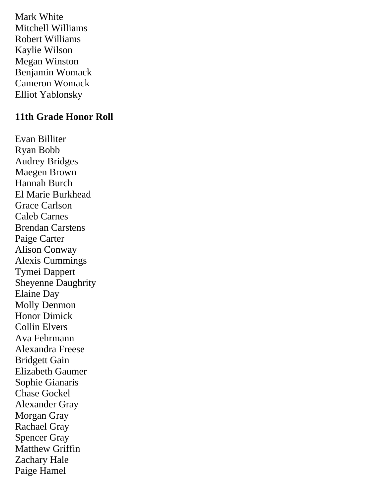Mark White Mitchell Williams Robert Williams Kaylie Wilson Megan Winston Benjamin Womack Cameron Womack Elliot Yablonsky

## **11th Grade Honor Roll**

Evan Billiter Ryan Bobb Audrey Bridges Maegen Brown Hannah Burch El Marie Burkhead Grace Carlson Caleb Carnes Brendan Carstens Paige Carter Alison Conway Alexis Cummings Tymei Dappert Sheyenne Daughrity Elaine Day Molly Denmon Honor Dimick Collin Elvers Ava Fehrmann Alexandra Freese Bridgett Gain Elizabeth Gaumer Sophie Gianaris Chase Gockel Alexander Gray Morgan Gray Rachael Gray Spencer Gray Matthew Griffin Zachary Hale Paige Hamel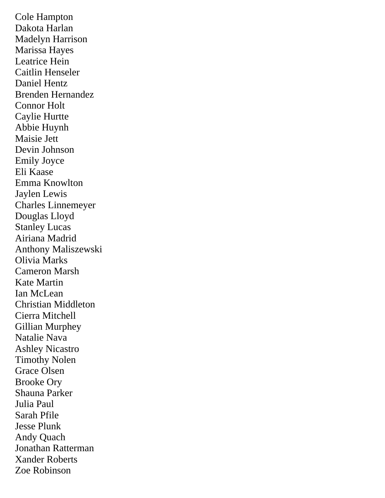Cole Hampton Dakota Harlan Madelyn Harrison Marissa Hayes Leatrice Hein Caitlin Henseler Daniel Hentz Brenden Hernandez Connor Holt Caylie Hurtte Abbie Huynh Maisie Jett Devin Johnson Emily Joyce Eli Kaase Emma Knowlton Jaylen Lewis Charles Linnemeyer Douglas Lloyd Stanley Lucas Airiana Madrid Anthony Maliszewski Olivia Marks Cameron Marsh Kate Martin Ian McLean Christian Middleton Cierra Mitchell Gillian Murphey Natalie Nava Ashley Nicastro Timothy Nolen Grace Olsen Brooke Ory Shauna Parker Julia Paul Sarah Pfile Jesse Plunk Andy Quach Jonathan Ratterman Xander Roberts Zoe Robinson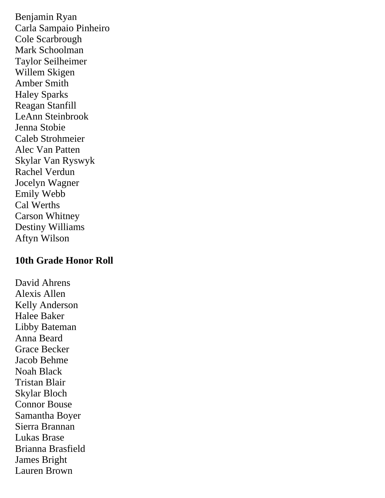Benjamin Ryan Carla Sampaio Pinheiro Cole Scarbrough Mark Schoolman Taylor Seilheimer Willem Skigen Amber Smith Haley Sparks Reagan Stanfill LeAnn Steinbrook Jenna Stobie Caleb Strohmeier Alec Van Patten Skylar Van Ryswyk Rachel Verdun Jocelyn Wagner Emily Webb Cal Werths Carson Whitney Destiny Williams Aftyn Wilson

#### **10th Grade Honor Roll**

David Ahrens Alexis Allen Kelly Anderson Halee Baker Libby Bateman Anna Beard Grace Becker Jacob Behme Noah Black Tristan Blair Skylar Bloch Connor Bouse Samantha Boyer Sierra Brannan Lukas Brase Brianna Brasfield James Bright Lauren Brown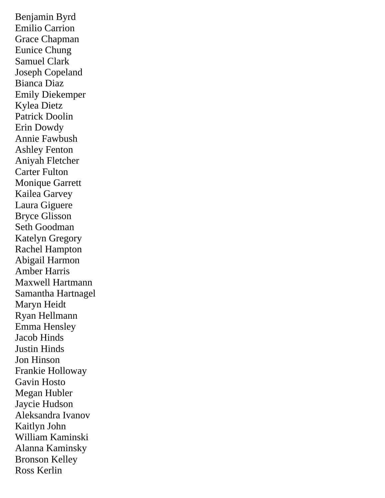Benjamin Byrd Emilio Carrion Grace Chapman Eunice Chung Samuel Clark Joseph Copeland Bianca Diaz Emily Diekemper Kylea Dietz Patrick Doolin Erin Dowdy Annie Fawbush Ashley Fenton Aniyah Fletcher Carter Fulton Monique Garrett Kailea Garvey Laura Giguere Bryce Glisson Seth Goodman Katelyn Gregory Rachel Hampton Abigail Harmon Amber Harris Maxwell Hartmann Samantha Hartnagel Maryn Heidt Ryan Hellmann Emma Hensley Jacob Hinds Justin Hinds Jon Hinson Frankie Holloway Gavin Hosto Megan Hubler Jaycie Hudson Aleksandra Ivanov Kaitlyn John William Kaminski Alanna Kaminsky Bronson Kelley Ross Kerlin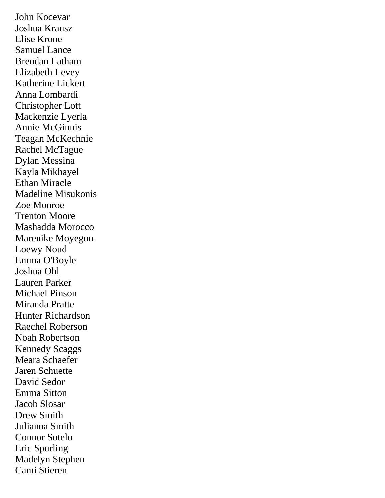John Kocevar Joshua Krausz Elise Krone Samuel Lance Brendan Latham Elizabeth Levey Katherine Lickert Anna Lombardi Christopher Lott Mackenzie Lyerla Annie McGinnis Teagan McKechnie Rachel McTague Dylan Messina Kayla Mikhayel Ethan Miracle Madeline Misukonis Zoe Monroe Trenton Moore Mashadda Morocco Marenike Moyegun Loewy Noud Emma O'Boyle Joshua Ohl Lauren Parker Michael Pinson Miranda Pratte Hunter Richardson Raechel Roberson Noah Robertson Kennedy Scaggs Meara Schaefer Jaren Schuette David Sedor Emma Sitton Jacob Slosar Drew Smith Julianna Smith Connor Sotelo Eric Spurling Madelyn Stephen Cami Stieren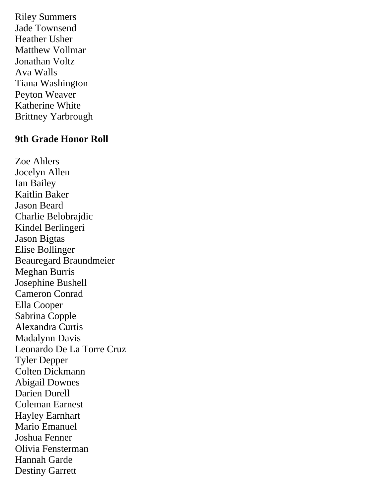Riley Summers Jade Townsend Heather Usher Matthew Vollmar Jonathan Voltz Ava Walls Tiana Washington Peyton Weaver Katherine White Brittney Yarbrough

#### **9th Grade Honor Roll**

Zoe Ahlers Jocelyn Allen Ian Bailey Kaitlin Baker Jason Beard Charlie Belobrajdic Kindel Berlingeri Jason Bigtas Elise Bollinger Beauregard Braundmeier Meghan Burris Josephine Bushell Cameron Conrad Ella Cooper Sabrina Copple Alexandra Curtis Madalynn Davis Leonardo De La Torre Cruz Tyler Depper Colten Dickmann Abigail Downes Darien Durell Coleman Earnest Hayley Earnhart Mario Emanuel Joshua Fenner Olivia Fensterman Hannah Garde Destiny Garrett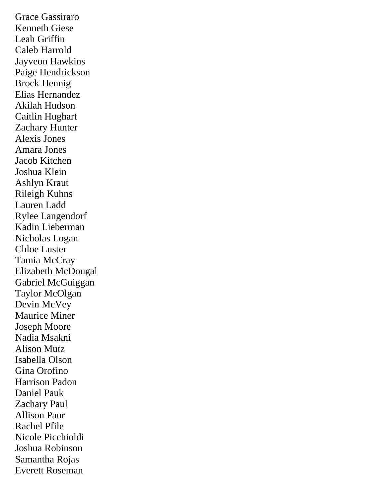Grace Gassiraro Kenneth Giese Leah Griffin Caleb Harrold Jayveon Hawkins Paige Hendrickson Brock Hennig Elias Hernandez Akilah Hudson Caitlin Hughart Zachary Hunter Alexis Jones Amara Jones Jacob Kitchen Joshua Klein Ashlyn Kraut Rileigh Kuhns Lauren Ladd Rylee Langendorf Kadin Lieberman Nicholas Logan Chloe Luster Tamia McCray Elizabeth McDougal Gabriel McGuiggan Taylor McOlgan Devin McVey Maurice Miner Joseph Moore Nadia Msakni Alison Mutz Isabella Olson Gina Orofino Harrison Padon Daniel Pauk Zachary Paul Allison Paur Rachel Pfile Nicole Picchioldi Joshua Robinson Samantha Rojas Everett Roseman